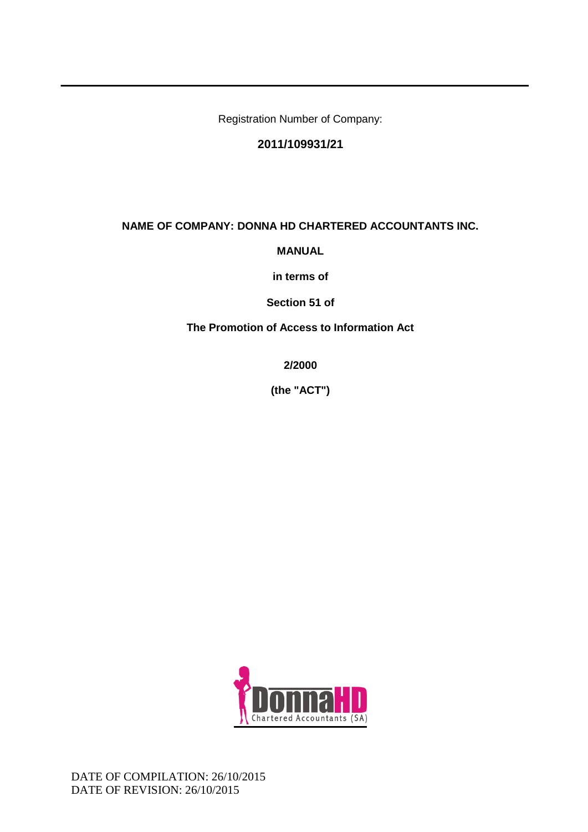Registration Number of Company:

# **2011/109931/21**

### **NAME OF COMPANY: DONNA HD CHARTERED ACCOUNTANTS INC.**

**MANUAL** 

**in terms of**

**Section 51 of**

**The Promotion of Access to Information Act**

**2/2000** 

**(the "ACT")**

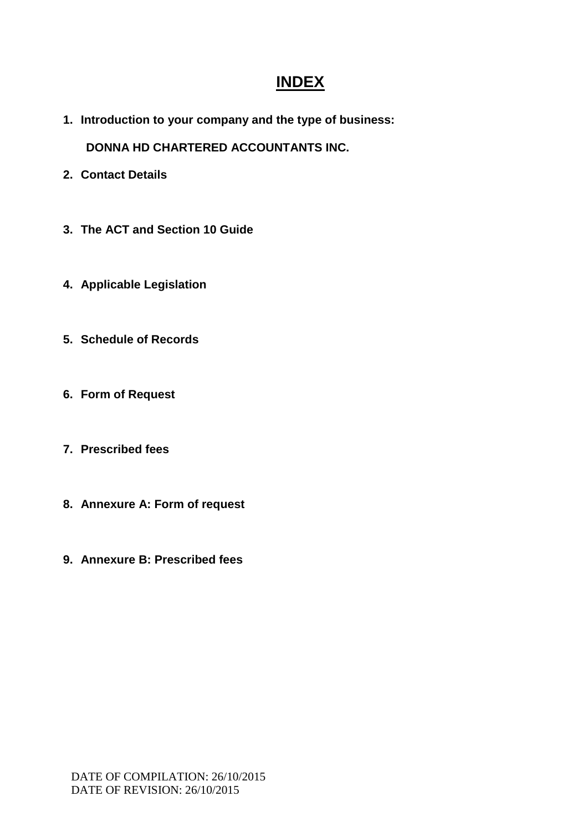# **INDEX**

**1. Introduction to your company and the type of business:**

 **DONNA HD CHARTERED ACCOUNTANTS INC.**

- **2. Contact Details**
- **3. The ACT and Section 10 Guide**
- **4. Applicable Legislation**
- **5. Schedule of Records**
- **6. Form of Request**
- **7. Prescribed fees**
- **8. Annexure A: Form of request**
- **9. Annexure B: Prescribed fees**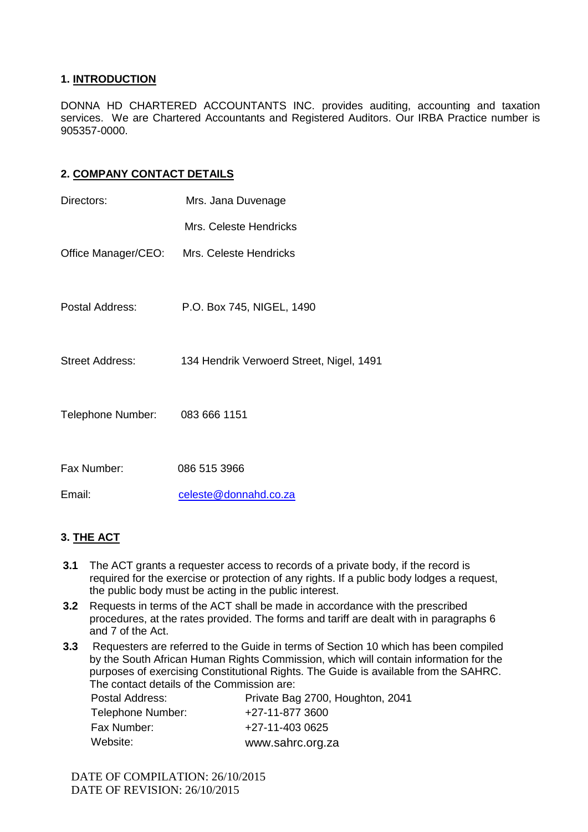### **1. INTRODUCTION**

DONNA HD CHARTERED ACCOUNTANTS INC. provides auditing, accounting and taxation services. We are Chartered Accountants and Registered Auditors. Our IRBA Practice number is 905357-0000.

### **2. COMPANY CONTACT DETAILS**

| Directors:             | Mrs. Jana Duvenage                         |  |  |
|------------------------|--------------------------------------------|--|--|
|                        | Mrs. Celeste Hendricks                     |  |  |
|                        | Office Manager/CEO: Mrs. Celeste Hendricks |  |  |
|                        |                                            |  |  |
| Postal Address:        | P.O. Box 745, NIGEL, 1490                  |  |  |
|                        |                                            |  |  |
| <b>Street Address:</b> | 134 Hendrik Verwoerd Street, Nigel, 1491   |  |  |
|                        |                                            |  |  |
| Telephone Number:      | 083 666 1151                               |  |  |
|                        |                                            |  |  |
| Fax Number:            | 086 515 3966                               |  |  |
| Email:                 | celeste@donnahd.co.za                      |  |  |

# **3. THE ACT**

- **3.1** The ACT grants a requester access to records of a private body, if the record is required for the exercise or protection of any rights. If a public body lodges a request, the public body must be acting in the public interest.
- **3.2** Requests in terms of the ACT shall be made in accordance with the prescribed procedures, at the rates provided. The forms and tariff are dealt with in paragraphs 6 and 7 of the Act.
- **3.3** Requesters are referred to the Guide in terms of Section 10 which has been compiled by the South African Human Rights Commission, which will contain information for the purposes of exercising Constitutional Rights. The Guide is available from the SAHRC. The contact details of the Commission are:

| Postal Address:   | Private Bag 2700, Houghton, 2041 |
|-------------------|----------------------------------|
| Telephone Number: | +27-11-877 3600                  |
| Fax Number:       | +27-11-403 0625                  |
| Website:          | www.sahrc.org.za                 |

DATE OF COMPILATION: 26/10/2015 DATE OF REVISION: 26/10/2015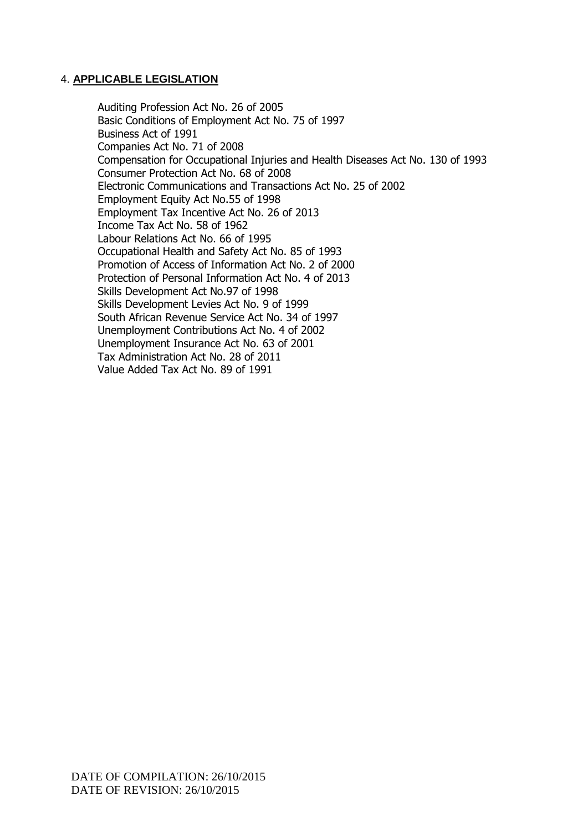### 4. **APPLICABLE LEGISLATION**

Auditing Profession Act No. 26 of 2005 Basic Conditions of Employment Act No. 75 of 1997 Business Act of 1991 Companies Act No. 71 of 2008 Compensation for Occupational Injuries and Health Diseases Act No. 130 of 1993 Consumer Protection Act No. 68 of 2008 Electronic Communications and Transactions Act No. 25 of 2002 Employment Equity Act No.55 of 1998 Employment Tax Incentive Act No. 26 of 2013 Income Tax Act No. 58 of 1962 Labour Relations Act No. 66 of 1995 Occupational Health and Safety Act No. 85 of 1993 Promotion of Access of Information Act No. 2 of 2000 Protection of Personal Information Act No. 4 of 2013 Skills Development Act No.97 of 1998 Skills Development Levies Act No. 9 of 1999 South African Revenue Service Act No. 34 of 1997 Unemployment Contributions Act No. 4 of 2002 Unemployment Insurance Act No. 63 of 2001 Tax Administration Act No. 28 of 2011 Value Added Tax Act No. 89 of 1991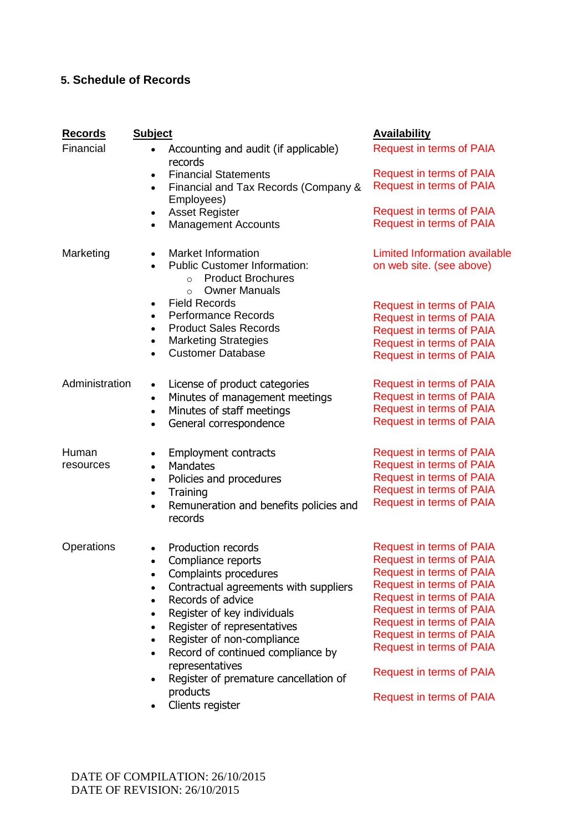# **5. Schedule of Records**

| <b>Records</b><br>Financial | <b>Subject</b><br>Accounting and audit (if applicable)<br>$\bullet$<br>records<br><b>Financial Statements</b><br>$\bullet$<br>Financial and Tax Records (Company &<br>$\bullet$<br>Employees)<br><b>Asset Register</b><br>$\bullet$<br><b>Management Accounts</b><br>$\bullet$                                                                                                                                                                                            | <b>Availability</b><br><b>Request in terms of PAIA</b><br><b>Request in terms of PAIA</b><br><b>Request in terms of PAIA</b><br><b>Request in terms of PAIA</b><br><b>Request in terms of PAIA</b>                                                                                                                                                                                     |
|-----------------------------|---------------------------------------------------------------------------------------------------------------------------------------------------------------------------------------------------------------------------------------------------------------------------------------------------------------------------------------------------------------------------------------------------------------------------------------------------------------------------|----------------------------------------------------------------------------------------------------------------------------------------------------------------------------------------------------------------------------------------------------------------------------------------------------------------------------------------------------------------------------------------|
| Marketing                   | <b>Market Information</b><br><b>Public Customer Information:</b><br><b>Product Brochures</b><br>$\circ$<br><b>Owner Manuals</b><br>$\circ$<br><b>Field Records</b><br>$\bullet$<br><b>Performance Records</b><br>$\bullet$<br><b>Product Sales Records</b><br>$\bullet$<br><b>Marketing Strategies</b><br>$\bullet$<br><b>Customer Database</b><br>$\bullet$                                                                                                              | <b>Limited Information available</b><br>on web site. (see above)<br><b>Request in terms of PAIA</b><br><b>Request in terms of PAIA</b><br><b>Request in terms of PAIA</b><br><b>Request in terms of PAIA</b><br><b>Request in terms of PAIA</b>                                                                                                                                        |
| Administration              | License of product categories<br>$\bullet$<br>Minutes of management meetings<br>$\bullet$<br>Minutes of staff meetings<br>$\bullet$<br>General correspondence<br>$\bullet$                                                                                                                                                                                                                                                                                                | <b>Request in terms of PAIA</b><br><b>Request in terms of PAIA</b><br><b>Request in terms of PAIA</b><br><b>Request in terms of PAIA</b>                                                                                                                                                                                                                                               |
| Human<br>resources          | Employment contracts<br>$\bullet$<br><b>Mandates</b><br>$\bullet$<br>Policies and procedures<br>$\bullet$<br>Training<br>$\bullet$<br>Remuneration and benefits policies and<br>$\bullet$<br>records                                                                                                                                                                                                                                                                      | <b>Request in terms of PAIA</b><br><b>Request in terms of PAIA</b><br><b>Request in terms of PAIA</b><br><b>Request in terms of PAIA</b><br><b>Request in terms of PAIA</b>                                                                                                                                                                                                            |
| Operations                  | Production records<br>Compliance reports<br>$\bullet$<br>Complaints procedures<br>$\bullet$<br>Contractual agreements with suppliers<br>$\bullet$<br>Records of advice<br>$\bullet$<br>Register of key individuals<br>$\bullet$<br>Register of representatives<br>$\bullet$<br>Register of non-compliance<br>$\bullet$<br>Record of continued compliance by<br>$\bullet$<br>representatives<br>Register of premature cancellation of<br>٠<br>products<br>Clients register | <b>Request in terms of PAIA</b><br><b>Request in terms of PAIA</b><br><b>Request in terms of PAIA</b><br><b>Request in terms of PAIA</b><br><b>Request in terms of PAIA</b><br><b>Request in terms of PAIA</b><br><b>Request in terms of PAIA</b><br><b>Request in terms of PAIA</b><br><b>Request in terms of PAIA</b><br>Request in terms of PAIA<br><b>Request in terms of PAIA</b> |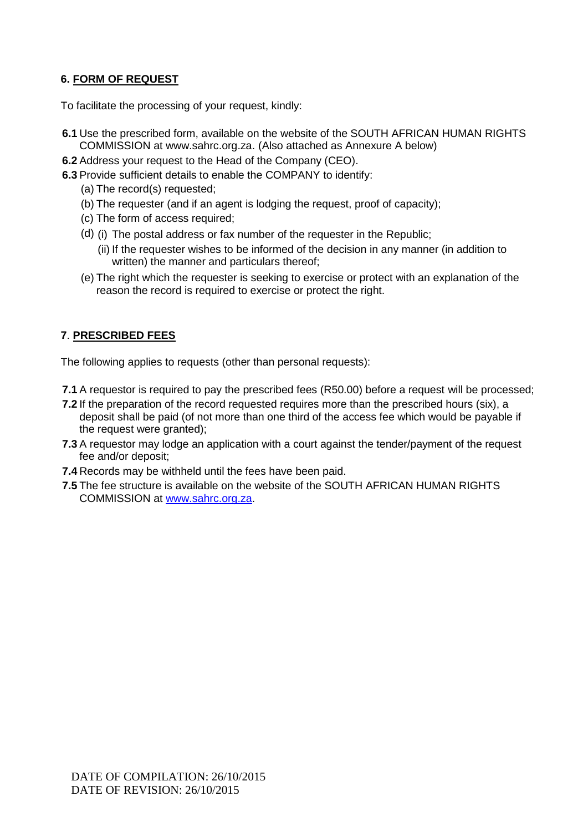## **6. FORM OF REQUEST**

To facilitate the processing of your request, kindly:

- **6.1** Use the prescribed form, available on the website of the SOUTH AFRICAN HUMAN RIGHTS COMMISSION at www.sahrc.org.za. (Also attached as Annexure A below)
- **6.2** Address your request to the Head of the Company (CEO).
- **6.3** Provide sufficient details to enable the COMPANY to identify:
	- (a) The record(s) requested;
	- (b) The requester (and if an agent is lodging the request, proof of capacity);
	- (c) The form of access required;
	- (d) (i) The postal address or fax number of the requester in the Republic;
		- (ii) If the requester wishes to be informed of the decision in any manner (in addition to written) the manner and particulars thereof;
	- (e) The right which the requester is seeking to exercise or protect with an explanation of the reason the record is required to exercise or protect the right.

### **7**. **PRESCRIBED FEES**

The following applies to requests (other than personal requests):

- **7.1** A requestor is required to pay the prescribed fees (R50.00) before a request will be processed;
- **7.2** If the preparation of the record requested requires more than the prescribed hours (six), a deposit shall be paid (of not more than one third of the access fee which would be payable if the request were granted);
- **7.3** A requestor may lodge an application with a court against the tender/payment of the request fee and/or deposit;
- **7.4** Records may be withheld until the fees have been paid.
- **7.5** The fee structure is available on the website of the SOUTH AFRICAN HUMAN RIGHTS COMMISSION at [www.sahrc.org.za.](http://www.sahrc.org.za/)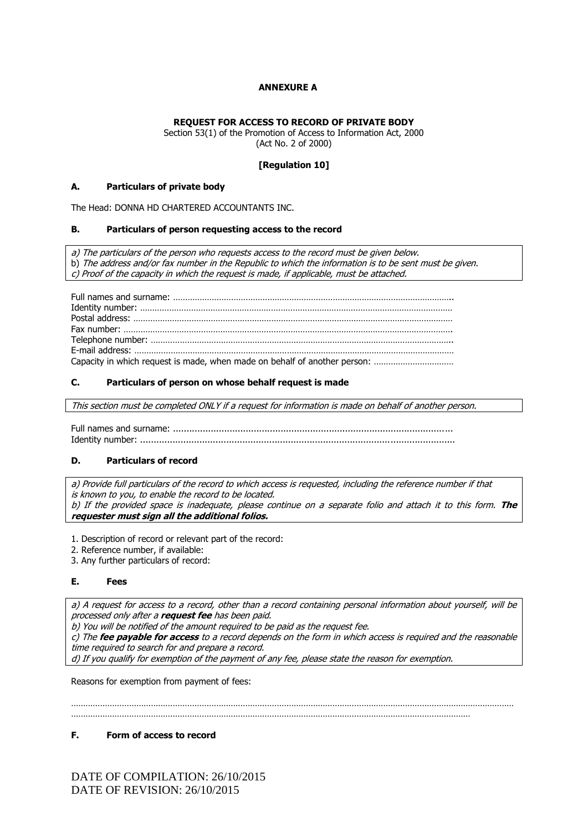#### **ANNEXURE A**

#### **REQUEST FOR ACCESS TO RECORD OF PRIVATE BODY**

Section 53(1) of the Promotion of Access to Information Act, 2000 (Act No. 2 of 2000)

#### **[Regulation 10]**

#### **A. Particulars of private body**

The Head: DONNA HD CHARTERED ACCOUNTANTS INC.

#### **B. Particulars of person requesting access to the record**

a) The particulars of the person who requests access to the record must be given below. b) The address and/or fax number in the Republic to which the information is to be sent must be given. c) Proof of the capacity in which the request is made, if applicable, must be attached.

Full names and surname: …………………………………………………………………………………………………….. Identity number: ………………………………………………………………………………………………………………… Postal address: …………………………………………………………………………………………………………………… Fax number: ………………………………………………………………………………………………………………………. Telephone number: …………………………………………………………………………………………………………….. E-mail address: …………………………………………………………………………………………………………………… Capacity in which request is made, when made on behalf of another person: ……………………………

#### **C. Particulars of person on whose behalf request is made**

This section must be completed ONLY if a request for information is made on behalf of another person.

Full names and surname: ................ Identity number: .....................................................................................................................

#### **D. Particulars of record**

a) Provide full particulars of the record to which access is requested, including the reference number if that is known to you, to enable the record to be located. b) If the provided space is inadequate, please continue on a separate folio and attach it to this form. **The requester must sign all the additional folios.**

1. Description of record or relevant part of the record:

2. Reference number, if available:

3. Any further particulars of record:

#### **E. Fees**

a) A request for access to a record, other than a record containing personal information about yourself, will be processed only after a **request fee** has been paid.

b) You will be notified of the amount required to be paid as the request fee.

c) The **fee payable for access** to a record depends on the form in which access is required and the reasonable time required to search for and prepare a record.

d) If you qualify for exemption of the payment of any fee, please state the reason for exemption.

Reasons for exemption from payment of fees:

………………………………………………………………………………………………………………………………………………………………… …………………………………………………………………………………………………………………………………………………

#### **F. Form of access to record**

DATE OF COMPILATION: 26/10/2015 DATE OF REVISION: 26/10/2015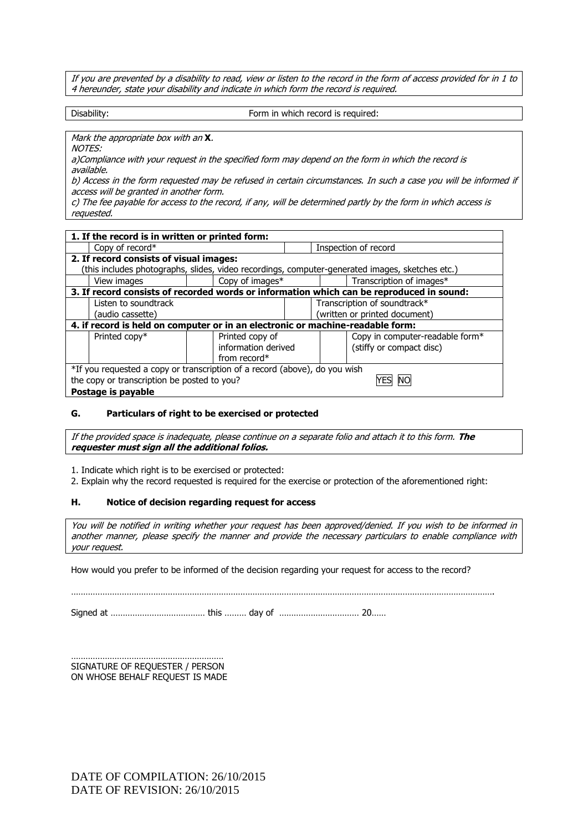If you are prevented by a disability to read, view or listen to the record in the form of access provided for in 1 to 4 hereunder, state your disability and indicate in which form the record is required.

Disability: **Form in which record is required:** 

Mark the appropriate box with an **X**.

NOTES:

a)Compliance with your request in the specified form may depend on the form in which the record is available.

b) Access in the form requested may be refused in certain circumstances. In such a case you will be informed if access will be granted in another form.

c) The fee payable for access to the record, if any, will be determined partly by the form in which access is requested.

| 1. If the record is in written or printed form:                                                 |                                         |  |                                 |  |  |
|-------------------------------------------------------------------------------------------------|-----------------------------------------|--|---------------------------------|--|--|
| Copy of record*                                                                                 |                                         |  | Inspection of record            |  |  |
|                                                                                                 | 2. If record consists of visual images: |  |                                 |  |  |
| (this includes photographs, slides, video recordings, computer-generated images, sketches etc.) |                                         |  |                                 |  |  |
| View images                                                                                     | Copy of images*                         |  | Transcription of images*        |  |  |
| 3. If record consists of recorded words or information which can be reproduced in sound:        |                                         |  |                                 |  |  |
| Listen to soundtrack                                                                            |                                         |  | Transcription of soundtrack*    |  |  |
| (audio cassette)                                                                                |                                         |  | (written or printed document)   |  |  |
| 4. if record is held on computer or in an electronic or machine-readable form:                  |                                         |  |                                 |  |  |
| Printed copy*                                                                                   | Printed copy of                         |  | Copy in computer-readable form* |  |  |
|                                                                                                 | information derived                     |  | (stiffy or compact disc)        |  |  |
|                                                                                                 | from record $*$                         |  |                                 |  |  |
| *If you requested a copy or transcription of a record (above), do you wish                      |                                         |  |                                 |  |  |
| the copy or transcription be posted to you?                                                     |                                         |  |                                 |  |  |
| Postage is payable                                                                              |                                         |  |                                 |  |  |

#### **G. Particulars of right to be exercised or protected**

If the provided space is inadequate, please continue on a separate folio and attach it to this form. **The requester must sign all the additional folios.**

1. Indicate which right is to be exercised or protected:

2. Explain why the record requested is required for the exercise or protection of the aforementioned right:

#### **H. Notice of decision regarding request for access**

You will be notified in writing whether your request has been approved/denied. If you wish to be informed in another manner, please specify the manner and provide the necessary particulars to enable compliance with your request.

………………………………………………………………………………………………………………………………………………………….

How would you prefer to be informed of the decision regarding your request for access to the record?

Signed at ………………………………… this ……… day of …………………………… 20……

……………………………………………………… SIGNATURE OF REQUESTER / PERSON ON WHOSE BEHALF REQUEST IS MADE